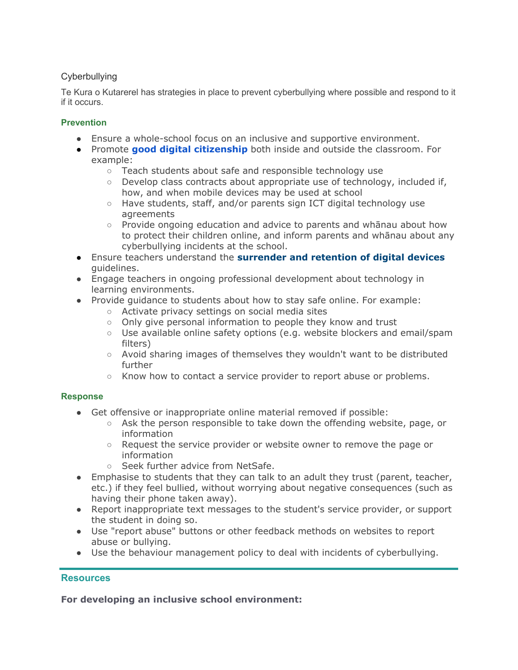# **Cyberbullying**

Te Kura o Kutarerel has strategies in place to prevent cyberbullying where possible and respond to it if it occurs.

## **Prevention**

- Ensure a whole-school focus on an inclusive and supportive environment.
- Promote **[good digital citizenship](https://docs.google.com/document/d/19YT007ruK5whbW8-U_-YOI7hVxiHi2RUlcsiIoBTWMg/edit)** both inside and outside the classroom. For example:
	- Teach students about safe and responsible technology use
	- Develop class contracts about appropriate use of technology, included if, how, and when mobile devices may be used at school
	- Have students, staff, and/or parents sign ICT digital technology use agreements
	- Provide ongoing education and advice to parents and whānau about how to protect their children online, and inform parents and whānau about any cyberbullying incidents at the school.
- Ensure teachers understand the **[surrender and retention of digital devices](https://docs.google.com/document/d/1vTid1m6W-tSaBs57Cc0HouHM08Cx5wtodkkRo34Iu-4/edit#heading=h.mv1lfftln1ax)** guidelines.
- Engage teachers in ongoing professional development about technology in learning environments.
- Provide guidance to students about how to stay safe online. For example:
	- Activate privacy settings on social media sites
	- Only give personal information to people they know and trust
	- Use available online safety options (e.g. website blockers and email/spam filters)
	- Avoid sharing images of themselves they wouldn't want to be distributed further
	- Know how to contact a service provider to report abuse or problems.

## **Response**

- Get offensive or inappropriate online material removed if possible:
	- Ask the person responsible to take down the offending website, page, or information
	- Request the service provider or website owner to remove the page or information
	- Seek further advice from NetSafe.
- Emphasise to students that they can talk to an adult they trust (parent, teacher, etc.) if they feel bullied, without worrying about negative consequences (such as having their phone taken away).
- Report inappropriate text messages to the student's service provider, or support the student in doing so.
- Use "report abuse" buttons or other feedback methods on websites to report abuse or bullying.
- Use the behaviour management policy to deal with incidents of cyberbullying.

## **Resources**

**For developing an inclusive school environment:**